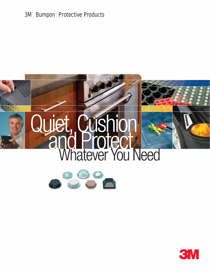### 3M™ Bumpon™ Protective Products





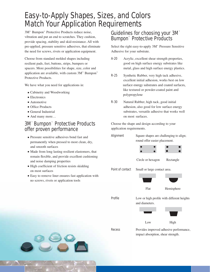## Easy-to-Apply Shapes, Sizes, and Colors Match Your Application Requirements

3M™ Bumpon™ Protective Products reduce noise, vibration and put an end to scratches. They cushion, provide spacing, stability and skid-resistance. All with pre-applied, pressure sensitive adhesives, that eliminate the need for screws, rivets or application equipment.

Choose from standard molded shapes including resilient pads, feet, buttons, strips, bumpers or spacers. More possibilities for shape, size, color and application are available, with custom 3M™ Bumpon™ Protective Products.

- Cabinetry and Woodworking
- Electronics
- Automotive
- Office Products
- General Industrial
- And many more...

#### 3M™ Bumpon™ Protective Products offer proven performance

- Pressure sensitive adhesives bond fast and permanently when pressed to most clean, dry, and smooth surfaces
- Made from long lasting resilient elastomers, that remain flexible, and provide excellent cushioning and noise damping properties
- High coefficient of friction resists skidding on most surfaces
- Easy to remove liner ensures fast application with no screws, rivets or application tools

#### Guidelines for choosing your 3M™ Bumpon™ Protective Products

Select the right easy-to-apply 3M™ Pressure Sensitive Adhesive for your substrate.

- A-20 Acrylic, excellent shear strength properties, good on high surface energy substrates like metal, glass and high surface energy plastics.
- R-25 Synthetic Rubber, very high tack adhesive, excellent initial adhesion, works best on low like textured or powder-coated paint and polypropylene We have what you need for applications in: surface energy substrates and coated surfaces,
	- R-30 Natural Rubber, high tack, good initial adhesion, also good for low surface energy substrates, versatile adhesive that works well on most surfaces.

Choose the shape and design according to your application requirements.

| Alignment        | Square shapes are challenging to align;<br>round offer easier placement. |            |  |
|------------------|--------------------------------------------------------------------------|------------|--|
|                  |                                                                          |            |  |
|                  | Circle or hexagon                                                        | Rectangle  |  |
| Point of contact | Small or large contact area.                                             |            |  |
|                  |                                                                          |            |  |
|                  | Flat                                                                     | Hemisphere |  |
| Profile          | Low or high profile with different heights<br>and diameters.             |            |  |
|                  |                                                                          |            |  |
|                  | Low                                                                      | High       |  |
|                  |                                                                          |            |  |

Recess Provides improved adhesive performance, impact absorption, shear strength.

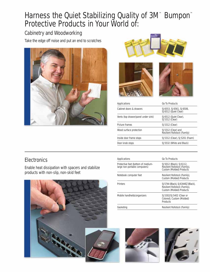## Harness the Quiet Stabilizing Quality of 3M™ Bumpon™ Protective Products in Your World of:

#### Cabinetry and Woodworking

Take the edge off noise and put an end to scratches









| Applications                        | Go To Products                                     |
|-------------------------------------|----------------------------------------------------|
| Cabinet doors & drawers             | SJ6553, SJ6561, SJ6506,<br>SJ6512 (Quiet Clear)    |
| Vents (top drawer/panel under sink) | SJ6512 (Quiet Clear),<br><b>SJ5312 (Clear)</b>     |
| Picture frames                      | SJ5312 (Clear)                                     |
| Wood surface protection             | SJ5312 (Clear) and<br>Resilient Rollstock (Family) |
| Inside door frame stops             | SJ5312 (Clear), SJ5201 (Foam)                      |
| Door knob stops                     | SJ5532 (White and Black)                           |
|                                     |                                                    |

#### **Electronics**

Enable heat dissipation with spacers and stabilize products with non-slip, non-skid feet



| Applications                                                        | Go To Products                                                                                 |
|---------------------------------------------------------------------|------------------------------------------------------------------------------------------------|
| Protective feet (bottom of medium-<br>large non-portable computers) | SJ5012 (Black), SJ6112,<br>Resilient Rollstock (Family),<br>Custom (Molded) Products           |
| Notebook computer feet                                              | Resilient Rollstock (Family),<br>Custom (Molded) Products                                      |
| Printers                                                            | SJ5744 (Black), SJ6344EZ (Black),<br>Resilient Rollstock (Family),<br>Custom (Molded) Products |
| Mobile handhelds/organizers                                         | SJ5302/SJ5402 (Clear or<br>Colored), Custom (Molded)<br>Products                               |
| Gasketing                                                           | Resilient Rollstock (Family)                                                                   |



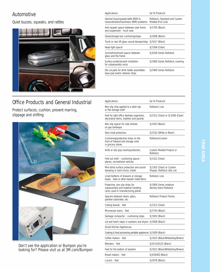#### Automotive

Quiet buzzes, squeaks, and rattles



### Office Products and General Industrial

Protect surfaces, cushion, prevent marring, slippage and shifting



Don't see the application or Bumpon you're looking for? Please visit us at 3M.com/Bumpon

| Applications                                                                   | Go To Products                                       |
|--------------------------------------------------------------------------------|------------------------------------------------------|
| General buzz/squeak/rattle (BSR) &<br>noise/vibration/harshness (NVR) problems | Rollstock, Standard and Custom<br>Molded (Full Line) |
| Anti-squeak spacer between seat frame<br>and suspension - truck seat           | SJ5705 (Black)                                       |
| Glove/storage box cushioning/stops                                             | SJ5006 (Black)                                       |
| Trunk or rear lift glass sound damper/stop                                     | SJ5017 (Black)                                       |
| Head light spacer                                                              | SJ5306 (Clear)                                       |
| Sunroof/moonroof spacer between<br>glass and the frame                         | SJ6200 Series Rollstock                              |
| Surface protector/anti-mutilation<br>for subassembly racks                     | SJ5800 Series Rollstock covering                     |
| Die cut parts for drink holder assemblies -<br>base pad and/or retainer strips | S 15900 Series Rollstock                             |

| Applications                                                                                               | Go To Products                                          |
|------------------------------------------------------------------------------------------------------------|---------------------------------------------------------|
| Non-slip strip applied to a desk top<br>or flat storage shelf                                              | <b>Rollstock Line</b>                                   |
| Feet for light office desktop organizers,<br>decorative items, trophies and awards                         | SJ5312 (Clear) or SJ5306 (Clear)                        |
| Non-slip spacer for side shelves<br>on gas barbeque                                                        | SJ5023 (Black)                                          |
| Door knob protectors                                                                                       | SJ5532 (White or Black)                                 |
| Cushioning/protective strips on the<br>front of freezer/cold storage units<br>in grocery stores            | Rollstock/Custom                                        |
| Knife or tool grip inserts/protectors                                                                      | <b>Custom Molded Product or</b><br>Rollstock            |
| Fold out shelf - cushioning spacer -<br>planes, recreational vehicles                                      | SJ5312 (Clear)                                          |
| Mini-blind surface protection and sound<br>damping in semi trucks, trailer                                 | SJ5302 (Clear) or Custom<br>Shapes, Rollstock (die cut) |
| Lined bottoms of drawers or storage<br>boxes - tools or other heavier metal items                          | Rollstock Line                                          |
| Protective, non-slip strips for<br>subassembly and material handling<br>racks used in manufacturing plants | SJ5900 Series (medium<br>density foam) Rollstock        |
| Spacers between doors, glass,<br>painted substrates, etc.                                                  | Rollstock Product Family                                |
| Cutting boards - feet                                                                                      | SJ5312 (Clear)                                          |
| Microwave ovens - feet                                                                                     | SJ5744 (Black)                                          |
| Garbage compactor - cushioning stops                                                                       | SJ5003 (Black)                                          |
| Lid and hatch stops in washers and dryers SJ5008 (Black)                                                   |                                                         |
| <b>Small Kitchen Appliances</b>                                                                            |                                                         |
| Cooking & food processing portable appliances SJ5009 (Black)                                               |                                                         |
| Coffee makers - feet                                                                                       | SJ5023 (Black/White/Grey/Brown)                         |
| Blenders - feet                                                                                            | SJ6115/6125 (Black)                                     |
| Feet for the bottom of toasters                                                                            | SJ5012 (Black/White/Grey/Brown)                         |
| Bread makers - feet                                                                                        | SJ6344EZ (Black)                                        |
| Juicers - feet                                                                                             | SJ5076 (Black)                                          |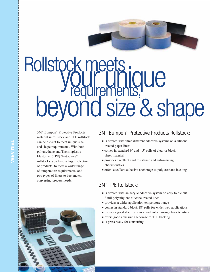

# Rollstock meets. **Surginique<br>Surginique<br>Surements, Que<br>Sind Qize R, Ql** beyond size & shape

3M™ Bumpon™ Protective Products material in rollstock and TPE rollstock can be die-cut to meet unique size and shape requirements. With both polyurethane and Thermoplastic Elastomer (TPE) Santoprene™ rollstocks, you have a larger selection of products, to meet a wider range of temperature requirements, and two types of liners to best match converting process needs.



- is offered with three different adhesive systems on a silicone treated paper liner
- comes in standard 9" and 4.5" rolls of clear or black sheet material
- provides excellent skid resistance and anti-marring characteristics
- offers excellent adhesive anchorage to polyurethane backing

#### 3M™ TPE Rollstock:

- is offered with an acrylic adhesive system on easy to die cut 3 mil polyethylene silicone treated liner
- provides a wider application temperature range
- comes in standard black 18" rolls for wider web applications
- provides good skid resistance and anti-marring characteristics
- offers good adhesive anchorage to TPE backing
- is press ready for converting